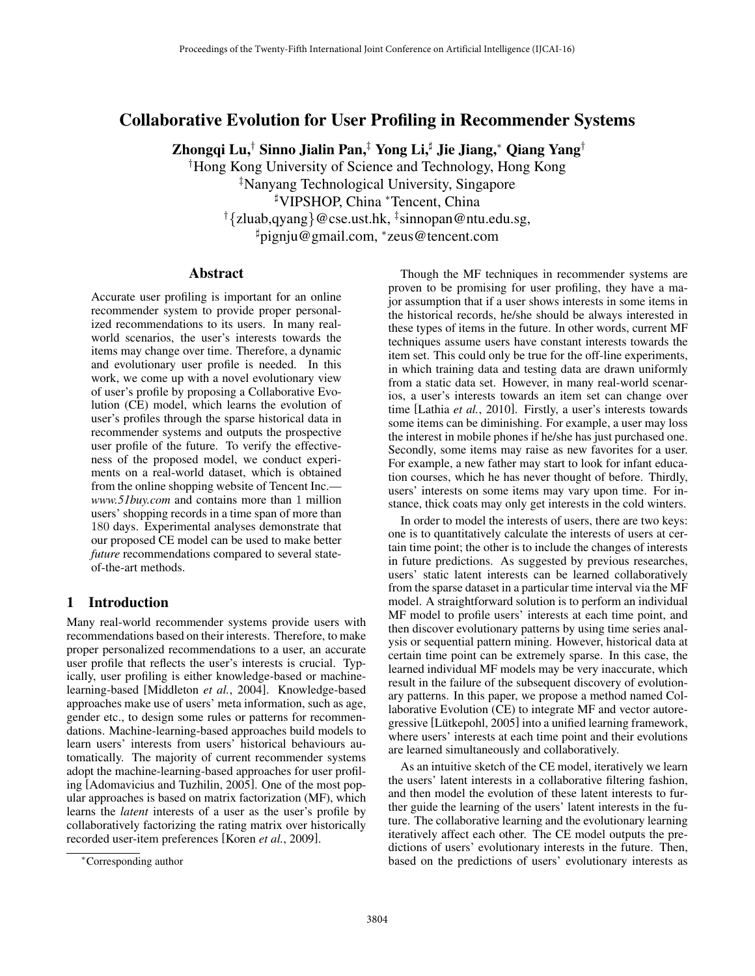# Collaborative Evolution for User Profiling in Recommender Systems

Zhongqi Lu,*†* Sinno Jialin Pan,*‡* Yong Li,] Jie Jiang,⇤ Qiang Yang*†*

*†* Hong Kong University of Science and Technology, Hong Kong *‡* Nanyang Technological University, Singapore

] VIPSHOP, China ⇤Tencent, China

*† {*zluab,qyang*}*@cse.ust.hk, *‡* sinnopan@ntu.edu.sg,

] pignju@gmail.com, ⇤zeus@tencent.com

### Abstract

Accurate user profiling is important for an online recommender system to provide proper personalized recommendations to its users. In many realworld scenarios, the user's interests towards the items may change over time. Therefore, a dynamic and evolutionary user profile is needed. In this work, we come up with a novel evolutionary view of user's profile by proposing a Collaborative Evolution (CE) model, which learns the evolution of user's profiles through the sparse historical data in recommender systems and outputs the prospective user profile of the future. To verify the effectiveness of the proposed model, we conduct experiments on a real-world dataset, which is obtained from the online shopping website of Tencent Inc. *www.51buy.com* and contains more than 1 million users' shopping records in a time span of more than 180 days. Experimental analyses demonstrate that our proposed CE model can be used to make better *future* recommendations compared to several stateof-the-art methods.

# 1 Introduction

Many real-world recommender systems provide users with recommendations based on their interests. Therefore, to make proper personalized recommendations to a user, an accurate user profile that reflects the user's interests is crucial. Typically, user profiling is either knowledge-based or machinelearning-based [Middleton *et al.*, 2004]. Knowledge-based approaches make use of users' meta information, such as age, gender etc., to design some rules or patterns for recommendations. Machine-learning-based approaches build models to learn users' interests from users' historical behaviours automatically. The majority of current recommender systems adopt the machine-learning-based approaches for user profiling [Adomavicius and Tuzhilin, 2005]. One of the most popular approaches is based on matrix factorization (MF), which learns the *latent* interests of a user as the user's profile by collaboratively factorizing the rating matrix over historically recorded user-item preferences [Koren *et al.*, 2009].

Though the MF techniques in recommender systems are proven to be promising for user profiling, they have a major assumption that if a user shows interests in some items in the historical records, he/she should be always interested in these types of items in the future. In other words, current MF techniques assume users have constant interests towards the item set. This could only be true for the off-line experiments, in which training data and testing data are drawn uniformly from a static data set. However, in many real-world scenarios, a user's interests towards an item set can change over time [Lathia *et al.*, 2010]. Firstly, a user's interests towards some items can be diminishing. For example, a user may loss the interest in mobile phones if he/she has just purchased one. Secondly, some items may raise as new favorites for a user. For example, a new father may start to look for infant education courses, which he has never thought of before. Thirdly, users' interests on some items may vary upon time. For instance, thick coats may only get interests in the cold winters.

In order to model the interests of users, there are two keys: one is to quantitatively calculate the interests of users at certain time point; the other is to include the changes of interests in future predictions. As suggested by previous researches, users' static latent interests can be learned collaboratively from the sparse dataset in a particular time interval via the MF model. A straightforward solution is to perform an individual MF model to profile users' interests at each time point, and then discover evolutionary patterns by using time series analysis or sequential pattern mining. However, historical data at certain time point can be extremely sparse. In this case, the learned individual MF models may be very inaccurate, which result in the failure of the subsequent discovery of evolutionary patterns. In this paper, we propose a method named Collaborative Evolution (CE) to integrate MF and vector autoregressive [Lütkepohl, 2005] into a unified learning framework, where users' interests at each time point and their evolutions are learned simultaneously and collaboratively.

As an intuitive sketch of the CE model, iteratively we learn the users' latent interests in a collaborative filtering fashion, and then model the evolution of these latent interests to further guide the learning of the users' latent interests in the future. The collaborative learning and the evolutionary learning iteratively affect each other. The CE model outputs the predictions of users' evolutionary interests in the future. Then, based on the predictions of users' evolutionary interests as

<sup>⇤</sup>Corresponding author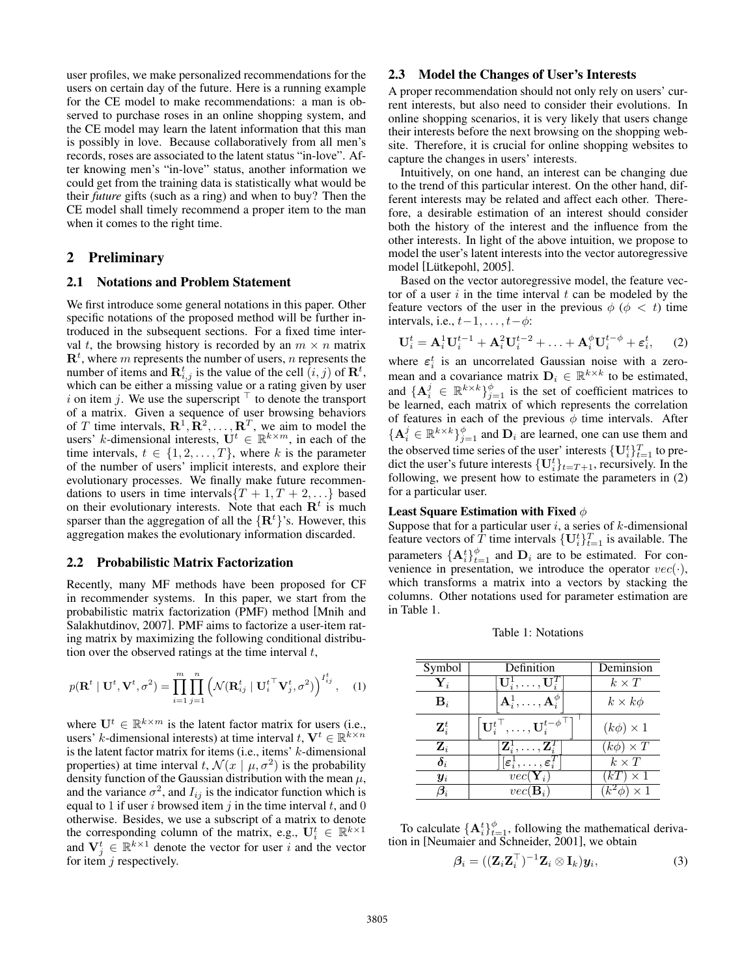user profiles, we make personalized recommendations for the users on certain day of the future. Here is a running example for the CE model to make recommendations: a man is observed to purchase roses in an online shopping system, and the CE model may learn the latent information that this man is possibly in love. Because collaboratively from all men's records, roses are associated to the latent status "in-love". After knowing men's "in-love" status, another information we could get from the training data is statistically what would be their *future* gifts (such as a ring) and when to buy? Then the CE model shall timely recommend a proper item to the man when it comes to the right time.

## 2 Preliminary

#### 2.1 Notations and Problem Statement

We first introduce some general notations in this paper. Other specific notations of the proposed method will be further introduced in the subsequent sections. For a fixed time interval *t*, the browsing history is recorded by an  $m \times n$  matrix  $\mathbf{R}^t$ , where  $m$  represents the number of users,  $n$  represents the number of items and  $\mathbf{R}_{i,j}^t$  is the value of the cell  $(i, j)$  of  $\mathbf{R}^t$ , which can be either a missing value or a rating given by user *i* on item *j*. We use the superscript  $\top$  to denote the transport of a matrix. Given a sequence of user browsing behaviors of *T* time intervals,  $\mathbb{R}^1, \mathbb{R}^2, \ldots, \mathbb{R}^T$ , we aim to model the users' *k*-dimensional interests,  $\mathbf{U}^t \in \mathbb{R}^{k \times m}$ , in each of the time intervals,  $t \in \{1, 2, ..., T\}$ , where *k* is the parameter of the number of users' implicit interests, and explore their evolutionary processes. We finally make future recommendations to users in time intervals $\{T + 1, T + 2, ...\}$  based on their evolutionary interests. Note that each  $\mathbb{R}^t$  is much sparser than the aggregation of all the *{*R*<sup>t</sup> }*'s. However, this aggregation makes the evolutionary information discarded.

#### 2.2 Probabilistic Matrix Factorization

Recently, many MF methods have been proposed for CF in recommender systems. In this paper, we start from the probabilistic matrix factorization (PMF) method [Mnih and Salakhutdinov, 2007]. PMF aims to factorize a user-item rating matrix by maximizing the following conditional distribution over the observed ratings at the time interval *t*,

$$
p(\mathbf{R}^t \mid \mathbf{U}^t, \mathbf{V}^t, \sigma^2) = \prod_{i=1}^m \prod_{j=1}^n \left( \mathcal{N}(\mathbf{R}^t_{ij} \mid \mathbf{U}_i^{t \top} \mathbf{V}_j^t, \sigma^2) \right)^{I_{ij}^t}, \quad (1)
$$

where  $U^t \in \mathbb{R}^{k \times m}$  is the latent factor matrix for users (i.e., users' *k*-dimensional interests) at time interval  $t, V^t \in \mathbb{R}^{k \times n}$ is the latent factor matrix for items (i.e., items' *k*-dimensional properties) at time interval *t*,  $\mathcal{N}(x \mid \mu, \sigma^2)$  is the probability density function of the Gaussian distribution with the mean *µ*, and the variance  $\sigma^2$ , and  $I_{ij}$  is the indicator function which is equal to 1 if user *i* browsed item *j* in the time interval *t*, and 0 otherwise. Besides, we use a subscript of a matrix to denote the corresponding column of the matrix, e.g.,  $\mathbf{U}_i^t \in \mathbb{R}^{k \times 1}$ and  $V_j^t \in \mathbb{R}^{k \times 1}$  denote the vector for user *i* and the vector for item *j* respectively.

#### 2.3 Model the Changes of User's Interests

A proper recommendation should not only rely on users' current interests, but also need to consider their evolutions. In online shopping scenarios, it is very likely that users change their interests before the next browsing on the shopping website. Therefore, it is crucial for online shopping websites to capture the changes in users' interests.

Intuitively, on one hand, an interest can be changing due to the trend of this particular interest. On the other hand, different interests may be related and affect each other. Therefore, a desirable estimation of an interest should consider both the history of the interest and the influence from the other interests. In light of the above intuition, we propose to model the user's latent interests into the vector autoregressive model [Lütkepohl, 2005].

Based on the vector autoregressive model, the feature vector of a user *i* in the time interval *t* can be modeled by the feature vectors of the user in the previous  $\phi$  ( $\phi$  < t) time intervals, i.e.,  $t-1, \ldots, t-\phi$ :

$$
\mathbf{U}_i^t = \mathbf{A}_i^1 \mathbf{U}_i^{t-1} + \mathbf{A}_i^2 \mathbf{U}_i^{t-2} + \ldots + \mathbf{A}_i^{\phi} \mathbf{U}_i^{t-\phi} + \boldsymbol{\varepsilon}_i^t, \qquad (2)
$$

where  $\varepsilon_i^t$  is an uncorrelated Gaussian noise with a zeromean and a covariance matrix  $D_i \in \mathbb{R}^{k \times k}$  to be estimated, and  ${ {\bf A}^j_i \in \mathbb{R}^{k \times k} }_{j=1}^{\phi}$  is the set of coefficient matrices to be learned, each matrix of which represents the correlation of features in each of the previous  $\phi$  time intervals. After  ${ {\bf A}^j_i \in \mathbb{R}^{k \times k} }_{j=1}^{\phi}$  and  ${\bf D}_i$  are learned, one can use them and the observed time series of the user' interests  $\{U_i^t\}_{t=1}^T$  to predict the user's future interests  $\{U_i^t\}_{t=T+1}$ , recursively. In the following, we present how to estimate the parameters in (2) for a particular user.

#### Least Square Estimation with Fixed  $\phi$

Suppose that for a particular user *i*, a series of *k*-dimensional feature vectors of *T* time intervals  $\{U_i^t\}_{t=1}^T$  is available. The parameters  $\{A_i^t\}_{t=1}^{\phi}$  and  $D_i$  are to be estimated. For convenience in presentation, we introduce the operator  $vec(\cdot)$ , which transforms a matrix into a vectors by stacking the columns. Other notations used for parameter estimation are in Table 1.

Table 1: Notations

| Symbol                 | Definition                                                                         | Deminsion                 |
|------------------------|------------------------------------------------------------------------------------|---------------------------|
| $\mathbf{Y}_i$         | $\mathbf{U}_i^1, \ldots, \mathbf{U}_i^T$                                           | $k \times T$              |
| $\mathbf{B}_i$         | $\mathbf{A}_i^1,\ldots,\mathbf{A}_i^{\phi}$                                        | $k \times k\phi$          |
| $\mathbf{Z}_i^t$       | $\left\vert \mathbf{U}_{i}^{t^{\top }},\ldots,\mathbf{U}_{i}^{t-\phi }\right\vert$ | $(k\phi) \times 1$        |
| $\mathbf{Z}_i$         | $\left[\mathbf{Z}_{i}^{1}, \ldots, \mathbf{Z}_{i}^{T}\right]$                      | $(k\phi) \times T$        |
| $\delta_i$             | $[\varepsilon_i^1, \ldots, \varepsilon_i^T]$                                       | $k \times T$              |
| $y_i$                  | $vec(\mathbf{Y}_i)$                                                                | $(kT) \times 1$           |
| $\boldsymbol{\beta}_i$ | $vec(\mathbf{B}_i)$                                                                | $1 \times 1$<br>$k^2\phi$ |

To calculate  $\{A_i^t\}_{t=1}^{\phi}$ , following the mathematical derivation in [Neumaier and Schneider, 2001], we obtain

$$
\beta_i = ((\mathbf{Z}_i \mathbf{Z}_i^\top)^{-1} \mathbf{Z}_i \otimes \mathbf{I}_k) \mathbf{y}_i,\tag{3}
$$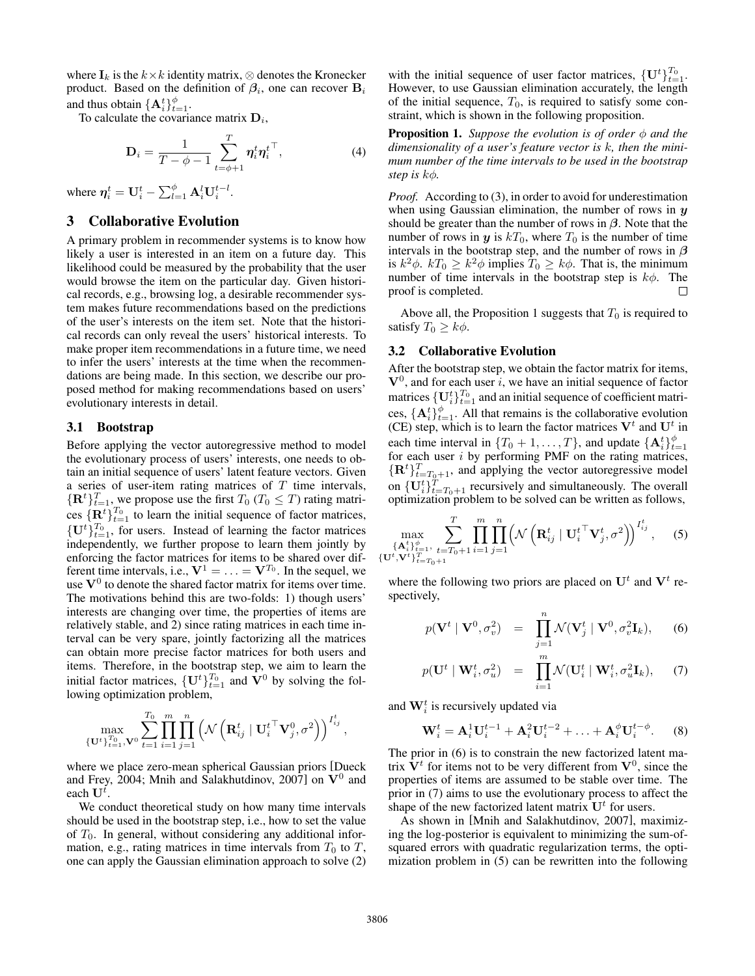where  $I_k$  is the  $k \times k$  identity matrix,  $\otimes$  denotes the Kronecker product. Based on the definition of  $\beta_i$ , one can recover  $B_i$ and thus obtain  ${ \mathbf{A}_i^t \}_{t=1}^{\phi}$ .

To calculate the covariance matrix D*i*,

$$
\mathbf{D}_{i} = \frac{1}{T - \phi - 1} \sum_{t = \phi + 1}^{T} \boldsymbol{\eta}_{i}^{t} \boldsymbol{\eta}_{i}^{t}^{\top},
$$
(4)

where  $\eta_i^t = \mathbf{U}_i^t - \sum_{l=1}^{\phi} \mathbf{A}_i^l \mathbf{U}_i^{t-l}$ .

# 3 Collaborative Evolution

A primary problem in recommender systems is to know how likely a user is interested in an item on a future day. This likelihood could be measured by the probability that the user would browse the item on the particular day. Given historical records, e.g., browsing log, a desirable recommender system makes future recommendations based on the predictions of the user's interests on the item set. Note that the historical records can only reveal the users' historical interests. To make proper item recommendations in a future time, we need to infer the users' interests at the time when the recommendations are being made. In this section, we describe our proposed method for making recommendations based on users' evolutionary interests in detail.

### 3.1 Bootstrap

Before applying the vector autoregressive method to model the evolutionary process of users' interests, one needs to obtain an initial sequence of users' latent feature vectors. Given a series of user-item rating matrices of *T* time intervals,  ${ \{ \mathbf{R}^t \}}_{t=1}^T$ , we propose use the first  $T_0$  ( $T_0 \leq T$ ) rating matrices  ${R^{t}}_{t=1}^{T_0}$  to learn the initial sequence of factor matrices,  $\{U^t\}_{t=1}^{T_0}$ , for users. Instead of learning the factor matrices independently, we further propose to learn them jointly by enforcing the factor matrices for items to be shared over different time intervals, i.e.,  $V^1 = \ldots = V^{T_0}$ . In the sequel, we use  $V^0$  to denote the shared factor matrix for items over time. The motivations behind this are two-folds: 1) though users' interests are changing over time, the properties of items are relatively stable, and 2) since rating matrices in each time interval can be very spare, jointly factorizing all the matrices can obtain more precise factor matrices for both users and items. Therefore, in the bootstrap step, we aim to learn the initial factor matrices,  $\{U^t\}_{t=1}^{T_0}$  and  $V^0$  by solving the following optimization problem,

$$
\max_{\{\mathbf{U}^t\}_{t=1}^{T_0},\mathbf{V}^0}\sum_{t=1}^{T_0}\prod_{i=1}^m\prod_{j=1}^n\left(\mathcal{N}\left(\mathbf{R}_{ij}^t\mid\mathbf{U}_i^{t\top}\mathbf{V}_j^0,\sigma^2\right)\right)^{I_{ij}^t},
$$

where we place zero-mean spherical Gaussian priors [Dueck and Frey, 2004; Mnih and Salakhutdinov, 2007] on  $V^0$  and each U*<sup>t</sup>* .

We conduct theoretical study on how many time intervals should be used in the bootstrap step, i.e., how to set the value of *T*0. In general, without considering any additional information, e.g., rating matrices in time intervals from  $T_0$  to  $T$ , one can apply the Gaussian elimination approach to solve (2)

with the initial sequence of user factor matrices,  ${\{\mathbf{U}^t\}}_{t=1}^{T_0}$ . However, to use Gaussian elimination accurately, the length of the initial sequence,  $T_0$ , is required to satisfy some constraint, which is shown in the following proposition.

**Proposition 1.** *Suppose the evolution is of order*  $\phi$  *and the dimensionality of a user's feature vector is k, then the minimum number of the time intervals to be used in the bootstrap step is*  $k\phi$ .

*Proof.* According to (3), in order to avoid for underestimation when using Gaussian elimination, the number of rows in *y* should be greater than the number of rows in  $\beta$ . Note that the number of rows in *y* is  $kT_0$ , where  $T_0$  is the number of time intervals in the bootstrap step, and the number of rows in  $\beta$ is  $k^2\phi$ .  $kT_0 \geq k^2\phi$  implies  $T_0 \geq k\phi$ . That is, the minimum number of time intervals in the bootstrap step is  $k\phi$ . The proof is completed.  $\Box$ 

Above all, the Proposition 1 suggests that  $T_0$  is required to satisfy  $T_0 > k\phi$ .

#### 3.2 Collaborative Evolution

After the bootstrap step, we obtain the factor matrix for items,  $V^0$ , and for each user *i*, we have an initial sequence of factor matrices  $\{U_i^t\}_{t=1}^{T_0}$  and an initial sequence of coefficient matrices,  ${A_i^t}_{t=1}^{\phi}$ . All that remains is the collaborative evolution (CE) step, which is to learn the factor matrices  $V^t$  and  $U^t$  in each time interval in  $\{T_0 + 1, \ldots, T\}$ , and update  $\{A_i^t\}_{t=1}^{\phi}$ for each user *i* by performing PMF on the rating matrices,  ${ \mathbf{R}^t \}_{t=T_0+1}^T$ , and applying the vector autoregressive model on  $\{U_i^t\}_{t=T_0+1}^T$  recursively and simultaneously. The overall optimization problem to be solved can be written as follows,

$$
\max_{\{\mathbf{A}_{i}^{t}\}_{i=1}^{a}, \atop{\{\mathbf{U}^{t}, \mathbf{V}^{t}\}_{i=T_{0}+1}^{a}} \prod_{i=1}^{T} \prod_{j=1}^{n} \left( \mathcal{N}\left(\mathbf{R}_{ij}^{t} \mid \mathbf{U}_{i}^{t} \mathbf{V}_{j}^{t}, \sigma^{2} \right) \right)^{I_{ij}^{t}}, \quad (5)
$$

where the following two priors are placed on  $U^t$  and  $V^t$  respectively,

$$
p(\mathbf{V}^t \mid \mathbf{V}^0, \sigma_v^2) = \prod_{j=1}^n \mathcal{N}(\mathbf{V}_j^t \mid \mathbf{V}^0, \sigma_v^2 \mathbf{I}_k), \qquad (6)
$$

$$
p(\mathbf{U}^t \mid \mathbf{W}_i^t, \sigma_u^2) = \prod_{i=1}^m \mathcal{N}(\mathbf{U}_i^t \mid \mathbf{W}_i^t, \sigma_u^2 \mathbf{I}_k), \quad (7)
$$

and W*<sup>t</sup> <sup>i</sup>* is recursively updated via

$$
\mathbf{W}_i^t = \mathbf{A}_i^1 \mathbf{U}_i^{t-1} + \mathbf{A}_i^2 \mathbf{U}_i^{t-2} + \ldots + \mathbf{A}_i^{\phi} \mathbf{U}_i^{t-\phi}.
$$
 (8)

The prior in (6) is to constrain the new factorized latent matrix  $V<sup>t</sup>$  for items not to be very different from  $V<sup>0</sup>$ , since the properties of items are assumed to be stable over time. The prior in (7) aims to use the evolutionary process to affect the shape of the new factorized latent matrix  $U<sup>t</sup>$  for users.

As shown in [Mnih and Salakhutdinov, 2007], maximizing the log-posterior is equivalent to minimizing the sum-ofsquared errors with quadratic regularization terms, the optimization problem in (5) can be rewritten into the following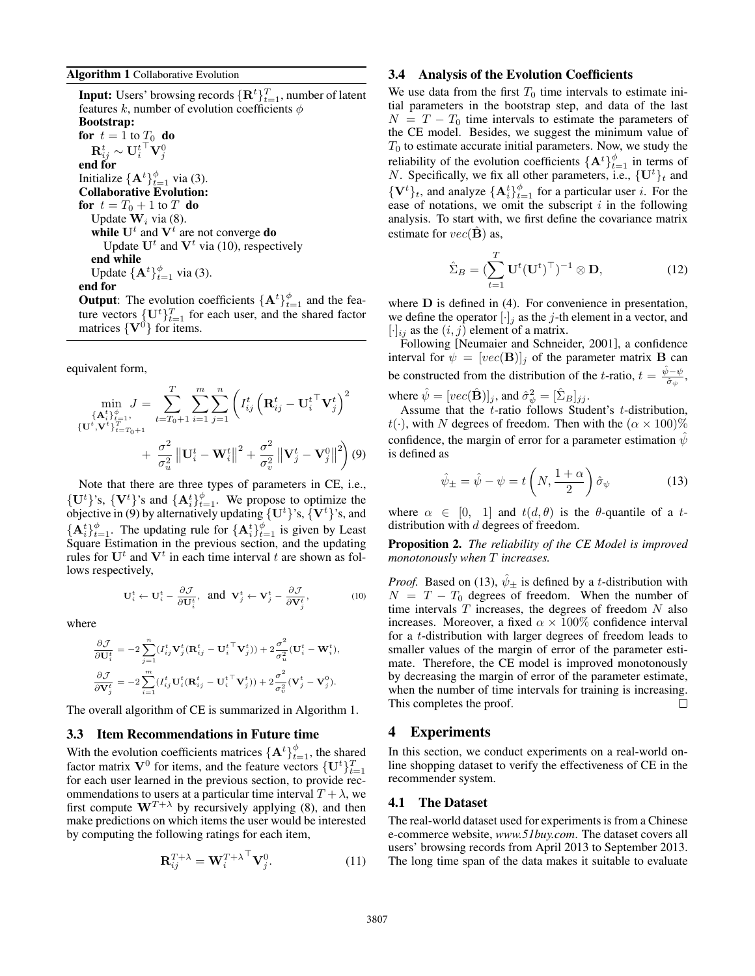**Input:** Users' browsing records  $\{\mathbf{R}_{i}^{t}\}_{t=1}^{T}$ , number of latent features  $k$ , number of evolution coefficients  $\phi$ Bootstrap: for  $t = 1$  to  $T_0$  do  $\mathbf{R}_{ij}^t \sim \mathbf{U}_i^{t\;\top} \mathbf{V}_j^0$ end for Initialize  $\{A^t\}_{t=1}^{\phi}$  via (3). Collaborative Evolution: for  $t = T_0 + 1$  to  $T$  do Update W*<sup>i</sup>* via (8). while  $U^t$  and  $V^t$  are not converge do Update  $U^t$  and  $V^t$  via (10), respectively end while Update  $\{A^t\}_{t=1}^{\phi}$  via (3).

# end for

**Output:** The evolution coefficients  $\{A^t\}_{t=1}^{\phi}$  and the feature vectors  $\{U^t\}_{t=1}^T$  for each user, and the shared factor matrices  $\{V^0\}$  for items.

equivalent form,

$$
\min_{\{\mathbf{A}_{i}^{t}\}_{t=1}^{a}}, J = \sum_{t=T_{0}+1}^{T} \sum_{i=1}^{m} \sum_{j=1}^{n} \left( I_{ij}^{t} \left( \mathbf{R}_{ij}^{t} - \mathbf{U}_{i}^{t \top} \mathbf{V}_{j}^{t} \right)^{2} + \left[ \mathbf{U}_{i}^{t}, \mathbf{V}_{i}^{t} \right]_{t=T_{0}+1}^{T_{t=T_{0}+1}} + \frac{\sigma^{2}}{\sigma_{u}^{2}} \left\| \mathbf{U}_{i}^{t} - \mathbf{W}_{i}^{t} \right\|^{2} + \frac{\sigma^{2}}{\sigma_{v}^{2}} \left\| \mathbf{V}_{j}^{t} - \mathbf{V}_{j}^{0} \right\|^{2} \right) (9)
$$

Note that there are three types of parameters in CE, i.e.,  $\{U^t\}$ 's,  $\{V^t\}$ 's and  $\{A^t_i\}_{t=1}^{\phi}$ . We propose to optimize the objective in (9) by alternatively updating  ${U<sup>t</sup>}$ 's,  ${V<sup>t</sup>}$ 's, and  ${A_i^t}_{t=1}^{\phi}$ . The updating rule for  ${A_i^t}_{t=1}^{\phi}$  is given by Least Square Estimation in the previous section, and the updating rules for  $U^t$  and  $V^t$  in each time interval  $t$  are shown as follows respectively,

$$
\mathbf{U}_i^t \leftarrow \mathbf{U}_i^t - \frac{\partial \mathcal{J}}{\partial \mathbf{U}_i^t}, \text{ and } \mathbf{V}_j^t \leftarrow \mathbf{V}_j^t - \frac{\partial \mathcal{J}}{\partial \mathbf{V}_j^t}, \tag{10}
$$

where

$$
\begin{aligned} &\frac{\partial \mathcal{J}}{\partial \mathbf{U}_i^t} = -2\sum_{j=1}^n (I_{ij}^t\mathbf{V}_j^t(\mathbf{R}_{ij}^t - {\mathbf{U}_i^t}^\top\mathbf{V}_j^t)) + 2\frac{\sigma^2}{\sigma_u^2}(\mathbf{U}_i^t - \mathbf{W}_i^t),\\ &\frac{\partial \mathcal{J}}{\partial \mathbf{V}_j^t} = -2\sum_{i=1}^m (I_{ij}^t{\mathbf{U}_i^t(\mathbf{R}_{ij}^t - {\mathbf{U}_i^t}^\top\mathbf{V}_j^t)}) + 2\frac{\sigma^2}{\sigma_v^2}(\mathbf{V}_j^t - \mathbf{V}_j^0). \end{aligned}
$$

The overall algorithm of CE is summarized in Algorithm 1.

#### 3.3 Item Recommendations in Future time

With the evolution coefficients matrices  $\{A^t\}_{t=1}^{\phi}$ , the shared factor matrix  $V^0$  for items, and the feature vectors  $\{U^t\}_{t=1}^T$ for each user learned in the previous section, to provide recommendations to users at a particular time interval  $T + \lambda$ , we first compute  $W^{T+\lambda}$  by recursively applying (8), and then make predictions on which items the user would be interested by computing the following ratings for each item,

$$
\mathbf{R}_{ij}^{T+\lambda} = \mathbf{W}_i^{T+\lambda^\top} \mathbf{V}_j^0.
$$
 (11)

#### 3.4 Analysis of the Evolution Coefficients

We use data from the first  $T_0$  time intervals to estimate initial parameters in the bootstrap step, and data of the last  $N = T - T_0$  time intervals to estimate the parameters of the CE model. Besides, we suggest the minimum value of *T*<sup>0</sup> to estimate accurate initial parameters. Now, we study the reliability of the evolution coefficients  $\{A^t\}_{t=1}^{\phi}$  in terms of *N*. Specifically, we fix all other parameters, i.e.,  ${\{\mathbf{U}^t\}}_t$  and  $\{V^t\}_t$ , and analyze  $\{A^t_i\}_{t=1}^{\phi}$  for a particular user *i*. For the ease of notations, we omit the subscript *i* in the following analysis. To start with, we first define the covariance matrix estimate for  $vec(\mathbf{B})$  as,

$$
\hat{\Sigma}_B = (\sum_{t=1}^T \mathbf{U}^t (\mathbf{U}^t)^\top)^{-1} \otimes \mathbf{D},\tag{12}
$$

where **D** is defined in (4). For convenience in presentation, we define the operator  $[\cdot]_j$  as the *j*-th element in a vector, and  $[\cdot]_{ij}$  as the  $(i, j)$  element of a matrix.

Following [Neumaier and Schneider, 2001], a confidence interval for  $\psi = [vec(\mathbf{B})]_j$  of the parameter matrix **B** can be constructed from the distribution of the *t*-ratio,  $t = \frac{\hat{\psi} - \psi}{\hat{\sigma}_{\psi}},$ where  $\hat{\psi} = [vec(\hat{\mathbf{B}})]_j$ , and  $\hat{\sigma}_{\psi}^2 = [\hat{\Sigma}_B]_{jj}$ .

Assume that the *t*-ratio follows Student's *t*-distribution,  $t(\cdot)$ , with *N* degrees of freedom. Then with the  $(\alpha \times 100)\%$ confidence, the margin of error for a parameter estimation  $\hat{\psi}$ is defined as

$$
\hat{\psi}_{\pm} = \hat{\psi} - \psi = t \left( N, \frac{1+\alpha}{2} \right) \hat{\sigma}_{\psi} \tag{13}
$$

where  $\alpha \in [0, 1]$  and  $t(d, \theta)$  is the  $\theta$ -quantile of a *t*distribution with *d* degrees of freedom.

Proposition 2. *The reliability of the CE Model is improved monotonously when T increases.*

*Proof.* Based on (13),  $\hat{\psi}_{\pm}$  is defined by a *t*-distribution with  $N = T - T_0$  degrees of freedom. When the number of time intervals *T* increases, the degrees of freedom *N* also increases. Moreover, a fixed  $\alpha \times 100\%$  confidence interval for a *t*-distribution with larger degrees of freedom leads to smaller values of the margin of error of the parameter estimate. Therefore, the CE model is improved monotonously by decreasing the margin of error of the parameter estimate, when the number of time intervals for training is increasing. This completes the proof.  $\Box$ 

### 4 Experiments

In this section, we conduct experiments on a real-world online shopping dataset to verify the effectiveness of CE in the recommender system.

#### 4.1 The Dataset

The real-world dataset used for experiments is from a Chinese e-commerce website, *www.51buy.com*. The dataset covers all users' browsing records from April 2013 to September 2013. The long time span of the data makes it suitable to evaluate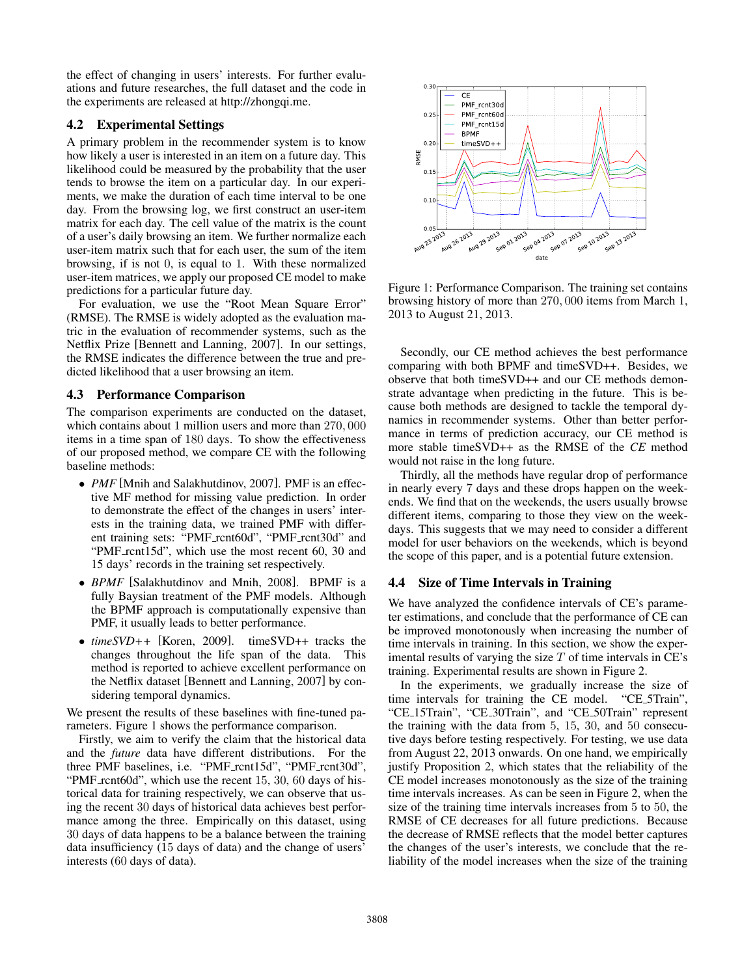the effect of changing in users' interests. For further evaluations and future researches, the full dataset and the code in the experiments are released at http://zhongqi.me.

### 4.2 Experimental Settings

A primary problem in the recommender system is to know how likely a user is interested in an item on a future day. This likelihood could be measured by the probability that the user tends to browse the item on a particular day. In our experiments, we make the duration of each time interval to be one day. From the browsing log, we first construct an user-item matrix for each day. The cell value of the matrix is the count of a user's daily browsing an item. We further normalize each user-item matrix such that for each user, the sum of the item browsing, if is not 0, is equal to 1. With these normalized user-item matrices, we apply our proposed CE model to make predictions for a particular future day.

For evaluation, we use the "Root Mean Square Error" (RMSE). The RMSE is widely adopted as the evaluation matric in the evaluation of recommender systems, such as the Netflix Prize [Bennett and Lanning, 2007]. In our settings, the RMSE indicates the difference between the true and predicted likelihood that a user browsing an item.

### 4.3 Performance Comparison

The comparison experiments are conducted on the dataset, which contains about 1 million users and more than 270*,* 000 items in a time span of 180 days. To show the effectiveness of our proposed method, we compare CE with the following baseline methods:

- *• PMF* [Mnih and Salakhutdinov, 2007]. PMF is an effective MF method for missing value prediction. In order to demonstrate the effect of the changes in users' interests in the training data, we trained PMF with different training sets: "PMF\_rcnt60d", "PMF\_rcnt30d" and "PMF\_rcnt15d", which use the most recent 60, 30 and 15 days' records in the training set respectively.
- *• BPMF* [Salakhutdinov and Mnih, 2008]. BPMF is a fully Baysian treatment of the PMF models. Although the BPMF approach is computationally expensive than PMF, it usually leads to better performance.
- *• timeSVD++* [Koren, 2009]. timeSVD++ tracks the changes throughout the life span of the data. This method is reported to achieve excellent performance on the Netflix dataset [Bennett and Lanning, 2007] by considering temporal dynamics.

We present the results of these baselines with fine-tuned parameters. Figure 1 shows the performance comparison.

Firstly, we aim to verify the claim that the historical data and the *future* data have different distributions. For the three PMF baselines, i.e. "PMF\_rcnt15d", "PMF\_rcnt30d", "PMF\_rcnt60d", which use the recent 15, 30, 60 days of historical data for training respectively, we can observe that using the recent 30 days of historical data achieves best performance among the three. Empirically on this dataset, using 30 days of data happens to be a balance between the training data insufficiency (15 days of data) and the change of users' interests (60 days of data).



Figure 1: Performance Comparison. The training set contains browsing history of more than 270*,* 000 items from March 1, 2013 to August 21, 2013.

Secondly, our CE method achieves the best performance comparing with both BPMF and timeSVD++. Besides, we observe that both timeSVD++ and our CE methods demonstrate advantage when predicting in the future. This is because both methods are designed to tackle the temporal dynamics in recommender systems. Other than better performance in terms of prediction accuracy, our CE method is more stable timeSVD++ as the RMSE of the *CE* method would not raise in the long future.

Thirdly, all the methods have regular drop of performance in nearly every 7 days and these drops happen on the weekends. We find that on the weekends, the users usually browse different items, comparing to those they view on the weekdays. This suggests that we may need to consider a different model for user behaviors on the weekends, which is beyond the scope of this paper, and is a potential future extension.

# 4.4 Size of Time Intervals in Training

We have analyzed the confidence intervals of CE's parameter estimations, and conclude that the performance of CE can be improved monotonously when increasing the number of time intervals in training. In this section, we show the experimental results of varying the size *T* of time intervals in CE's training. Experimental results are shown in Figure 2.

In the experiments, we gradually increase the size of time intervals for training the CE model. "CE 5Train", "CE 15Train", "CE 30Train", and "CE 50Train" represent the training with the data from 5, 15, 30, and 50 consecutive days before testing respectively. For testing, we use data from August 22, 2013 onwards. On one hand, we empirically justify Proposition 2, which states that the reliability of the CE model increases monotonously as the size of the training time intervals increases. As can be seen in Figure 2, when the size of the training time intervals increases from 5 to 50, the RMSE of CE decreases for all future predictions. Because the decrease of RMSE reflects that the model better captures the changes of the user's interests, we conclude that the reliability of the model increases when the size of the training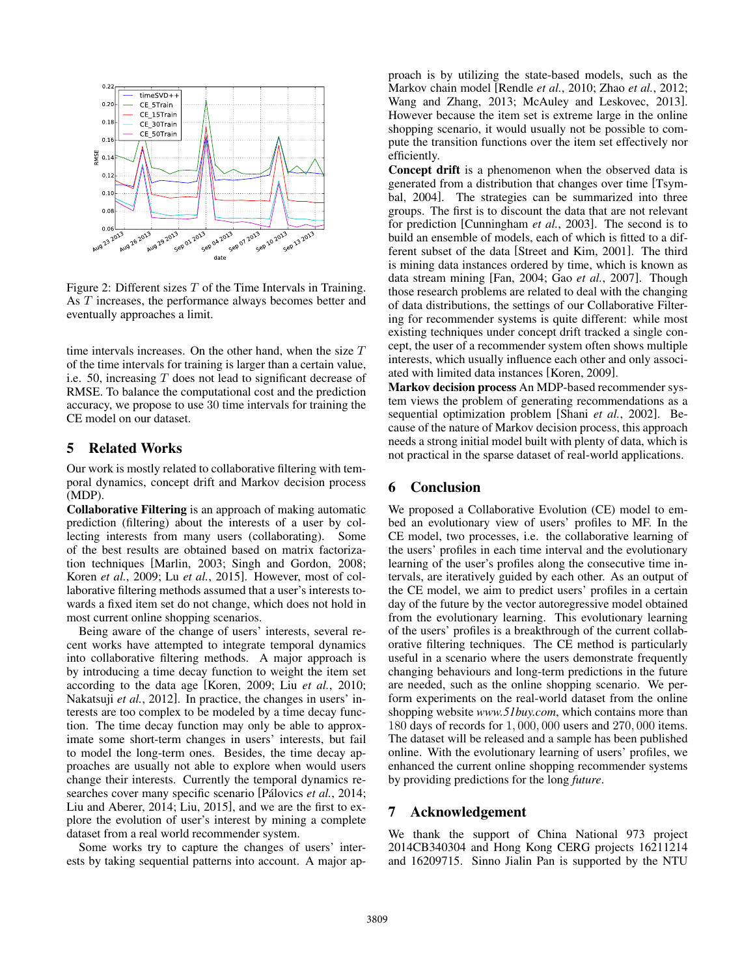

Figure 2: Different sizes *T* of the Time Intervals in Training. As *T* increases, the performance always becomes better and eventually approaches a limit.

time intervals increases. On the other hand, when the size *T* of the time intervals for training is larger than a certain value, i.e. 50, increasing *T* does not lead to significant decrease of RMSE. To balance the computational cost and the prediction accuracy, we propose to use 30 time intervals for training the CE model on our dataset.

# 5 Related Works

Our work is mostly related to collaborative filtering with temporal dynamics, concept drift and Markov decision process (MDP).

Collaborative Filtering is an approach of making automatic prediction (filtering) about the interests of a user by collecting interests from many users (collaborating). Some of the best results are obtained based on matrix factorization techniques [Marlin, 2003; Singh and Gordon, 2008; Koren *et al.*, 2009; Lu *et al.*, 2015]. However, most of collaborative filtering methods assumed that a user's interests towards a fixed item set do not change, which does not hold in most current online shopping scenarios.

Being aware of the change of users' interests, several recent works have attempted to integrate temporal dynamics into collaborative filtering methods. A major approach is by introducing a time decay function to weight the item set according to the data age [Koren, 2009; Liu *et al.*, 2010; Nakatsuji *et al.*, 2012]. In practice, the changes in users' interests are too complex to be modeled by a time decay function. The time decay function may only be able to approximate some short-term changes in users' interests, but fail to model the long-term ones. Besides, the time decay approaches are usually not able to explore when would users change their interests. Currently the temporal dynamics researches cover many specific scenario [Pálovics *et al.*, 2014; Liu and Aberer, 2014; Liu, 2015], and we are the first to explore the evolution of user's interest by mining a complete dataset from a real world recommender system.

Some works try to capture the changes of users' interests by taking sequential patterns into account. A major approach is by utilizing the state-based models, such as the Markov chain model [Rendle *et al.*, 2010; Zhao *et al.*, 2012; Wang and Zhang, 2013; McAuley and Leskovec, 2013]. However because the item set is extreme large in the online shopping scenario, it would usually not be possible to compute the transition functions over the item set effectively nor efficiently.

Concept drift is a phenomenon when the observed data is generated from a distribution that changes over time [Tsymbal, 2004]. The strategies can be summarized into three groups. The first is to discount the data that are not relevant for prediction [Cunningham *et al.*, 2003]. The second is to build an ensemble of models, each of which is fitted to a different subset of the data [Street and Kim, 2001]. The third is mining data instances ordered by time, which is known as data stream mining [Fan, 2004; Gao *et al.*, 2007]. Though those research problems are related to deal with the changing of data distributions, the settings of our Collaborative Filtering for recommender systems is quite different: while most existing techniques under concept drift tracked a single concept, the user of a recommender system often shows multiple interests, which usually influence each other and only associated with limited data instances [Koren, 2009].

Markov decision process An MDP-based recommender system views the problem of generating recommendations as a sequential optimization problem [Shani *et al.*, 2002]. Because of the nature of Markov decision process, this approach needs a strong initial model built with plenty of data, which is not practical in the sparse dataset of real-world applications.

# 6 Conclusion

We proposed a Collaborative Evolution (CE) model to embed an evolutionary view of users' profiles to MF. In the CE model, two processes, i.e. the collaborative learning of the users' profiles in each time interval and the evolutionary learning of the user's profiles along the consecutive time intervals, are iteratively guided by each other. As an output of the CE model, we aim to predict users' profiles in a certain day of the future by the vector autoregressive model obtained from the evolutionary learning. This evolutionary learning of the users' profiles is a breakthrough of the current collaborative filtering techniques. The CE method is particularly useful in a scenario where the users demonstrate frequently changing behaviours and long-term predictions in the future are needed, such as the online shopping scenario. We perform experiments on the real-world dataset from the online shopping website *www.51buy.com*, which contains more than 180 days of records for 1*,* 000*,* 000 users and 270*,* 000 items. The dataset will be released and a sample has been published online. With the evolutionary learning of users' profiles, we enhanced the current online shopping recommender systems by providing predictions for the long *future*.

# 7 Acknowledgement

We thank the support of China National 973 project 2014CB340304 and Hong Kong CERG projects 16211214 and 16209715. Sinno Jialin Pan is supported by the NTU